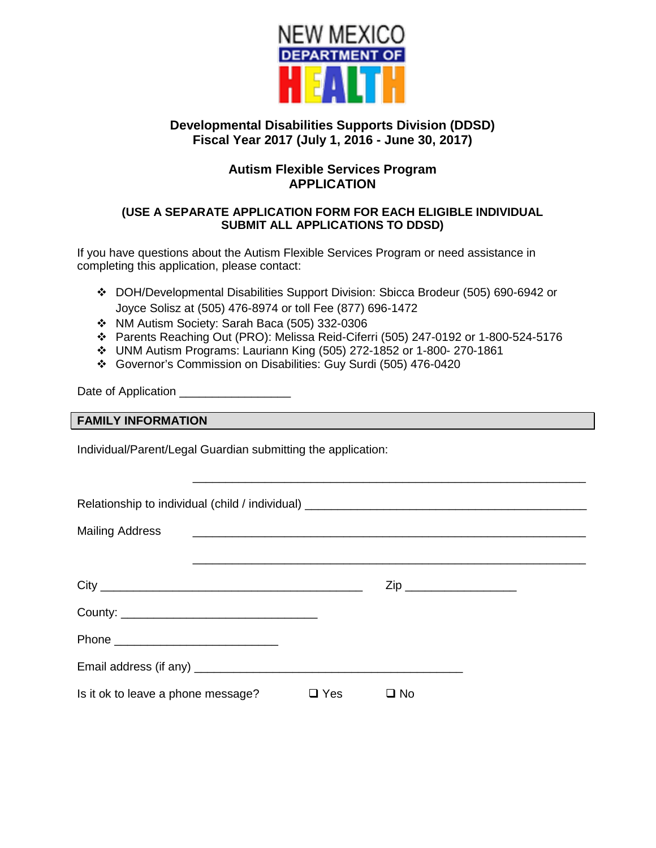

# **Developmental Disabilities Supports Division (DDSD) Fiscal Year 2017 (July 1, 2016 - June 30, 2017)**

# **Autism Flexible Services Program APPLICATION**

## **(USE A SEPARATE APPLICATION FORM FOR EACH ELIGIBLE INDIVIDUAL SUBMIT ALL APPLICATIONS TO DDSD)**

If you have questions about the Autism Flexible Services Program or need assistance in completing this application, please contact:

- DOH/Developmental Disabilities Support Division: Sbicca Brodeur (505) 690-6942 or Joyce Solisz at (505) 476-8974 or toll Fee (877) 696-1472
- \* NM Autism Society: Sarah Baca (505) 332-0306
- Parents Reaching Out (PRO): Melissa Reid-Ciferri (505) 247-0192 or 1-800-524-5176
- UNM Autism Programs: Lauriann King (505) 272-1852 or 1-800- 270-1861
- Governor's Commission on Disabilities: Guy Surdi (505) 476-0420

Date of Application

## **FAMILY INFORMATION**

Individual/Parent/Legal Guardian submitting the application:

| Relationship to individual (child / individual) ________________________________                                                                |            |                         |  |
|-------------------------------------------------------------------------------------------------------------------------------------------------|------------|-------------------------|--|
| <b>Mailing Address</b><br><u> 1989 - Johann Harry Harry Harry Harry Harry Harry Harry Harry Harry Harry Harry Harry Harry Harry Harry Harry</u> |            |                         |  |
|                                                                                                                                                 |            |                         |  |
|                                                                                                                                                 |            | Zip ___________________ |  |
|                                                                                                                                                 |            |                         |  |
|                                                                                                                                                 |            |                         |  |
|                                                                                                                                                 |            |                         |  |
| Is it ok to leave a phone message?                                                                                                              | $\Box$ Yes | $\square$ No            |  |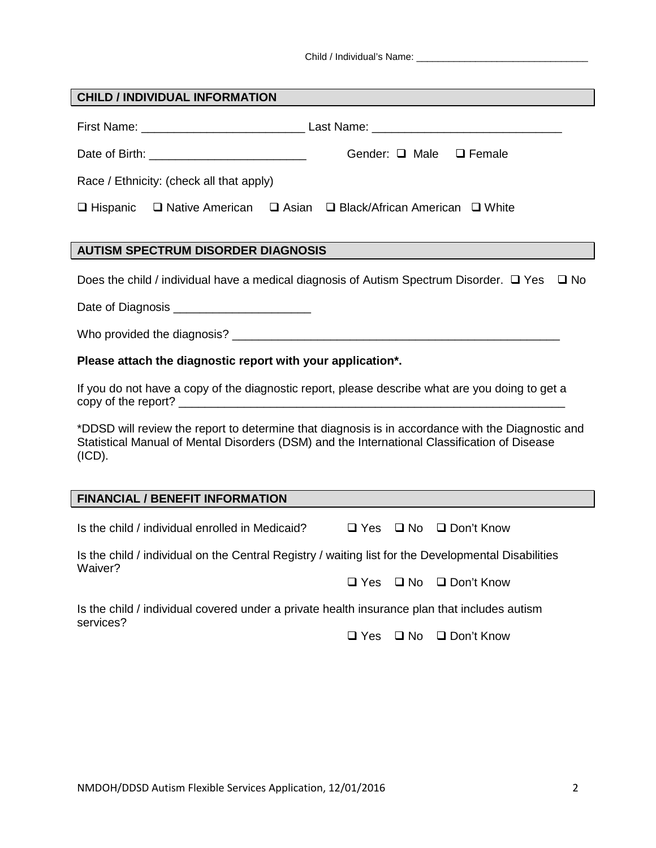Child / Individual's Name: \_\_\_\_\_\_\_\_\_\_\_\_\_\_\_\_\_\_\_\_\_\_\_\_\_\_\_\_\_\_\_\_

| <b>CHILD / INDIVIDUAL INFORMATION</b>                                                                                                                                                                       |  |  |  |  |
|-------------------------------------------------------------------------------------------------------------------------------------------------------------------------------------------------------------|--|--|--|--|
|                                                                                                                                                                                                             |  |  |  |  |
| Gender: □ Male □ Female                                                                                                                                                                                     |  |  |  |  |
| Race / Ethnicity: (check all that apply)                                                                                                                                                                    |  |  |  |  |
| $\Box$ Hispanic $\Box$ Native American<br>$\Box$ Asian $\Box$ Black/African American $\Box$ White                                                                                                           |  |  |  |  |
| <b>AUTISM SPECTRUM DISORDER DIAGNOSIS</b>                                                                                                                                                                   |  |  |  |  |
|                                                                                                                                                                                                             |  |  |  |  |
| Does the child / individual have a medical diagnosis of Autism Spectrum Disorder. $\Box$ Yes $\Box$ No                                                                                                      |  |  |  |  |
| Date of Diagnosis ________________________                                                                                                                                                                  |  |  |  |  |
|                                                                                                                                                                                                             |  |  |  |  |
| Please attach the diagnostic report with your application*.                                                                                                                                                 |  |  |  |  |
| If you do not have a copy of the diagnostic report, please describe what are you doing to get a                                                                                                             |  |  |  |  |
| *DDSD will review the report to determine that diagnosis is in accordance with the Diagnostic and<br>Statistical Manual of Mental Disorders (DSM) and the International Classification of Disease<br>(ICD). |  |  |  |  |
|                                                                                                                                                                                                             |  |  |  |  |
| <b>FINANCIAL / BENEFIT INFORMATION</b>                                                                                                                                                                      |  |  |  |  |
| Is the child / individual enrolled in Medicaid?<br>$\Box$ Yes $\Box$ No $\Box$ Don't Know                                                                                                                   |  |  |  |  |
| Is the child / individual on the Central Registry / waiting list for the Developmental Disabilities                                                                                                         |  |  |  |  |
| Waiver?<br>$\Box$ Yes $\Box$ No $\Box$ Don't Know                                                                                                                                                           |  |  |  |  |
| Is the child / individual covered under a private health insurance plan that includes autism                                                                                                                |  |  |  |  |
| services?<br>$\square$ No<br>$\Box$ Yes<br>$\Box$ Don't Know                                                                                                                                                |  |  |  |  |
|                                                                                                                                                                                                             |  |  |  |  |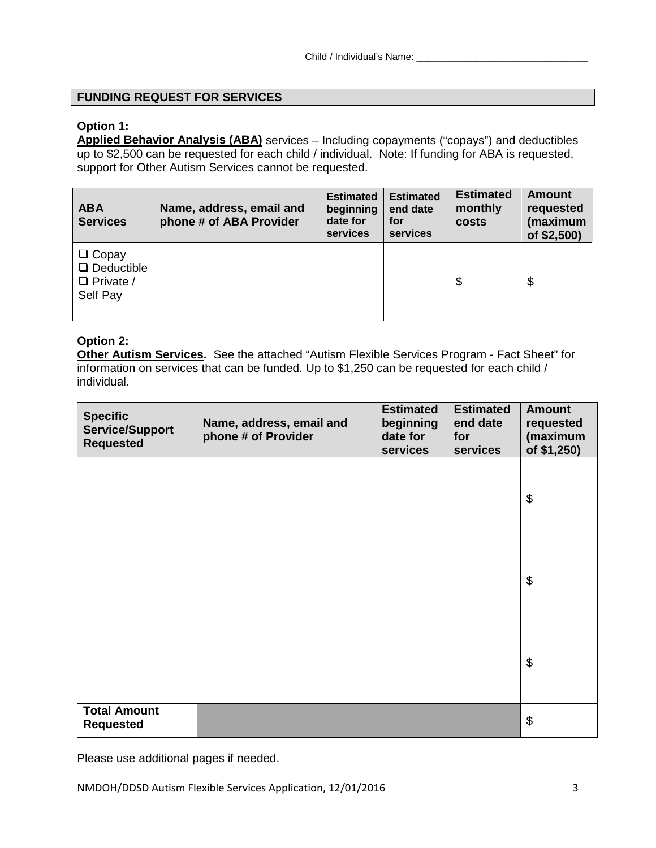## **FUNDING REQUEST FOR SERVICES**

## **Option 1:**

**Applied Behavior Analysis (ABA)** services – Including copayments ("copays") and deductibles up to \$2,500 can be requested for each child / individual. Note: If funding for ABA is requested, support for Other Autism Services cannot be requested.

| <b>ABA</b><br><b>Services</b>                                     | Name, address, email and<br>phone # of ABA Provider | <b>Estimated</b><br>beginning<br>date for<br>services | <b>Estimated</b><br>end date<br>for<br>services | <b>Estimated</b><br>monthly<br>costs | <b>Amount</b><br>requested<br>(maximum<br>of \$2,500) |
|-------------------------------------------------------------------|-----------------------------------------------------|-------------------------------------------------------|-------------------------------------------------|--------------------------------------|-------------------------------------------------------|
| $\Box$ Copay<br>$\Box$ Deductible<br>$\Box$ Private /<br>Self Pay |                                                     |                                                       |                                                 | \$                                   | \$                                                    |

## **Option 2:**

**Other Autism Services.** See the attached "Autism Flexible Services Program - Fact Sheet" for information on services that can be funded. Up to \$1,250 can be requested for each child / individual.

| <b>Specific</b><br><b>Service/Support</b><br><b>Requested</b> | Name, address, email and<br>phone # of Provider | <b>Estimated</b><br>beginning<br>date for<br>services | <b>Estimated</b><br>end date<br>for<br>services | <b>Amount</b><br>requested<br>(maximum<br>of \$1,250) |
|---------------------------------------------------------------|-------------------------------------------------|-------------------------------------------------------|-------------------------------------------------|-------------------------------------------------------|
|                                                               |                                                 |                                                       |                                                 | \$                                                    |
|                                                               |                                                 |                                                       |                                                 | \$                                                    |
|                                                               |                                                 |                                                       |                                                 | \$                                                    |
| <b>Total Amount</b><br><b>Requested</b>                       |                                                 |                                                       |                                                 | \$                                                    |

Please use additional pages if needed.